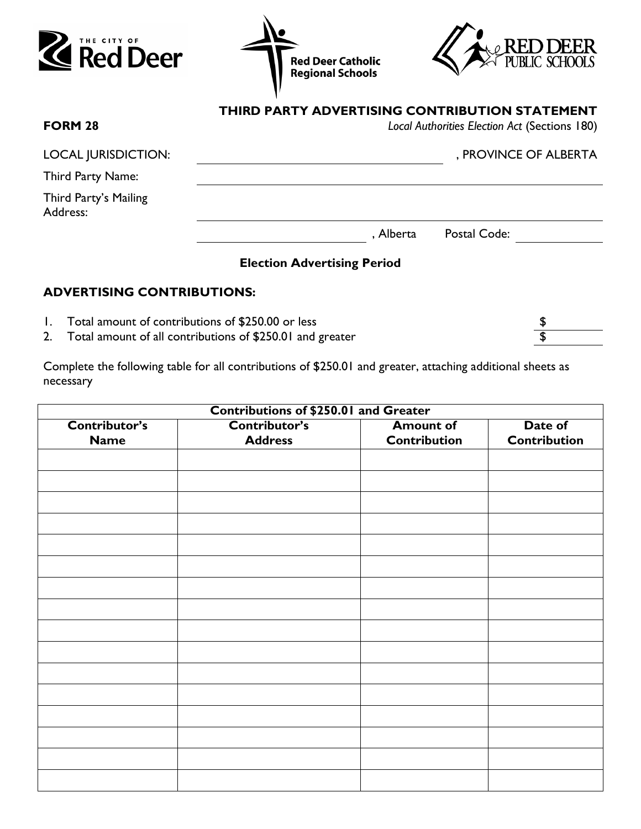





| <b>FORM 28</b>                    | THIRD PARTY ADVERTISING CONTRIBUTION STATEMENT<br>Local Authorities Election Act (Sections 180) |
|-----------------------------------|-------------------------------------------------------------------------------------------------|
| <b>LOCAL JURISDICTION:</b>        | , PROVINCE OF ALBERTA                                                                           |
| Third Party Name:                 |                                                                                                 |
| Third Party's Mailing<br>Address: |                                                                                                 |
|                                   | Postal Code:<br>, Alberta                                                                       |

## **Election Advertising Period**

# **ADVERTISING CONTRIBUTIONS:**

- 1. Total amount of contributions of \$250.00 or less \$
- 2. Total amount of all contributions of \$250.01 and greater  $\frac{1}{3}$

Complete the following table for all contributions of \$250.01 and greater, attaching additional sheets as necessary

| <b>Contributions of \$250.01 and Greater</b> |                |                     |                     |  |
|----------------------------------------------|----------------|---------------------|---------------------|--|
| Contributor's                                | Contributor's  | <b>Amount of</b>    | Date of             |  |
| <b>Name</b>                                  | <b>Address</b> | <b>Contribution</b> | <b>Contribution</b> |  |
|                                              |                |                     |                     |  |
|                                              |                |                     |                     |  |
|                                              |                |                     |                     |  |
|                                              |                |                     |                     |  |
|                                              |                |                     |                     |  |
|                                              |                |                     |                     |  |
|                                              |                |                     |                     |  |
|                                              |                |                     |                     |  |
|                                              |                |                     |                     |  |
|                                              |                |                     |                     |  |
|                                              |                |                     |                     |  |
|                                              |                |                     |                     |  |
|                                              |                |                     |                     |  |
|                                              |                |                     |                     |  |
|                                              |                |                     |                     |  |
|                                              |                |                     |                     |  |
|                                              |                |                     |                     |  |
|                                              |                |                     |                     |  |